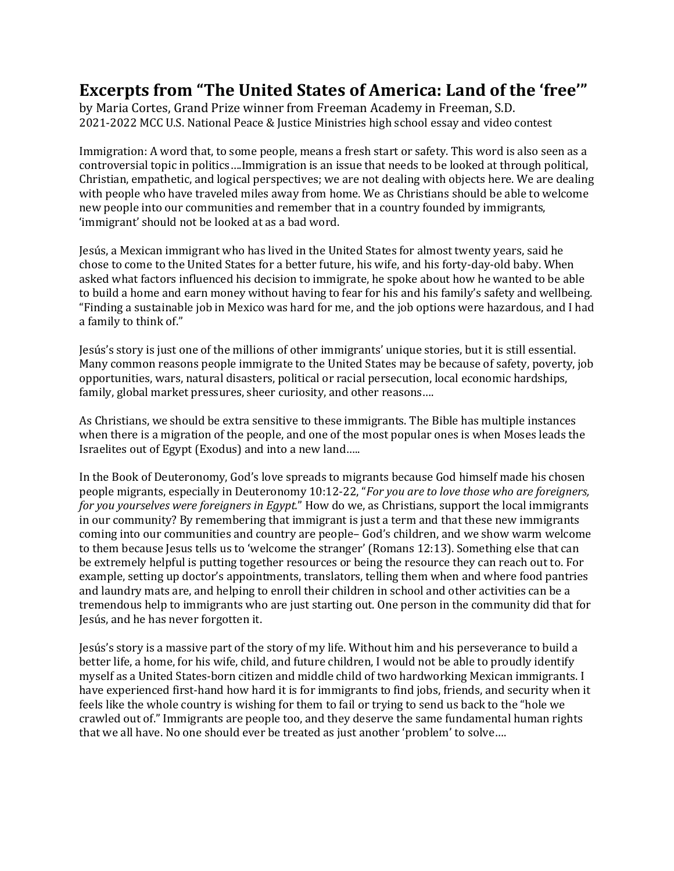## **Excerpts from "The United States of America: Land of the 'free'"**

by Maria Cortes, Grand Prize winner from Freeman Academy in Freeman, S.D. 2021-2022 MCC U.S. National Peace & Justice Ministries high school essay and video contest

Immigration: A word that, to some people, means a fresh start or safety. This word is also seen as a controversial topic in politics….Immigration is an issue that needs to be looked at through political, Christian, empathetic, and logical perspectives; we are not dealing with objects here. We are dealing with people who have traveled miles away from home. We as Christians should be able to welcome new people into our communities and remember that in a country founded by immigrants, 'immigrant' should not be looked at as a bad word.

Jesús, a Mexican immigrant who has lived in the United States for almost twenty years, said he chose to come to the United States for a better future, his wife, and his forty-day-old baby. When asked what factors influenced his decision to immigrate, he spoke about how he wanted to be able to build a home and earn money without having to fear for his and his family's safety and wellbeing. "Finding a sustainable job in Mexico was hard for me, and the job options were hazardous, and I had a family to think of."

Jesús's story is just one of the millions of other immigrants' unique stories, but it is still essential. Many common reasons people immigrate to the United States may be because of safety, poverty, job opportunities, wars, natural disasters, political or racial persecution, local economic hardships, family, global market pressures, sheer curiosity, and other reasons….

As Christians, we should be extra sensitive to these immigrants. The Bible has multiple instances when there is a migration of the people, and one of the most popular ones is when Moses leads the Israelites out of Egypt (Exodus) and into a new land…..

In the Book of Deuteronomy, God's love spreads to migrants because God himself made his chosen people migrants, especially in Deuteronomy 10:12-22, "*For you are to love those who are foreigners, for you yourselves were foreigners in Egypt.*" How do we, as Christians, support the local immigrants in our community? By remembering that immigrant is just a term and that these new immigrants coming into our communities and country are people– God's children, and we show warm welcome to them because Jesus tells us to 'welcome the stranger' (Romans 12:13). Something else that can be extremely helpful is putting together resources or being the resource they can reach out to. For example, setting up doctor's appointments, translators, telling them when and where food pantries and laundry mats are, and helping to enroll their children in school and other activities can be a tremendous help to immigrants who are just starting out. One person in the community did that for Jesús, and he has never forgotten it.

Jesús's story is a massive part of the story of my life. Without him and his perseverance to build a better life, a home, for his wife, child, and future children, I would not be able to proudly identify myself as a United States-born citizen and middle child of two hardworking Mexican immigrants. I have experienced first-hand how hard it is for immigrants to find jobs, friends, and security when it feels like the whole country is wishing for them to fail or trying to send us back to the "hole we crawled out of." Immigrants are people too, and they deserve the same fundamental human rights that we all have. No one should ever be treated as just another 'problem' to solve….